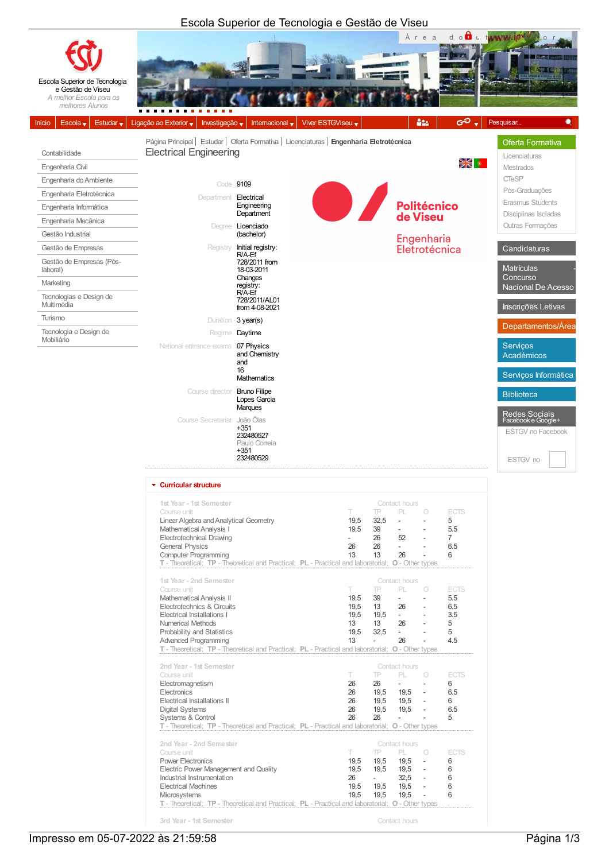## Escola Superior de Tecnologia e Gestão de Viseu



| unicular Succure                                                                                  |                          |           |               |                          |                |  |  |  |
|---------------------------------------------------------------------------------------------------|--------------------------|-----------|---------------|--------------------------|----------------|--|--|--|
| 1st Year - 1st Semester                                                                           | Contact hours            |           |               |                          |                |  |  |  |
| Course unit                                                                                       | T                        | <b>TP</b> | PL            | 0                        | <b>ECTS</b>    |  |  |  |
| Linear Algebra and Analytical Geometry                                                            | 19,5                     | 32,5      | L.            |                          | 5              |  |  |  |
| <b>Mathematical Analysis I</b>                                                                    | 19,5                     | 39        | $\sim$        |                          | 5.5            |  |  |  |
| Electrotechnical Drawing                                                                          | $\overline{\phantom{a}}$ | 26        | 52            | ٠                        | $\overline{7}$ |  |  |  |
| <b>General Physics</b>                                                                            | 26                       | 26        | $\sim$        |                          | 6.5            |  |  |  |
| <b>Computer Programming</b>                                                                       | 13                       | 13        | 26            |                          | 6              |  |  |  |
| T - Theoretical; TP - Theoretical and Practical; PL - Practical and laboratorial; O - Other types |                          |           |               |                          |                |  |  |  |
|                                                                                                   |                          |           |               |                          |                |  |  |  |
| 1st Year - 2nd Semester                                                                           | Contact hours            |           |               |                          |                |  |  |  |
| Course unit                                                                                       | T                        | TP        | PL            | 0                        | <b>ECTS</b>    |  |  |  |
| Mathematical Analysis II                                                                          | 19,5                     | 39        | $\sim$        |                          | 5.5            |  |  |  |
| Electrotechnics & Circuits                                                                        | 19,5                     | 13        | 26            |                          | 6.5            |  |  |  |
| Electrical Installations I                                                                        | 19,5                     | 19,5      | $\sim 100$    |                          | 3.5            |  |  |  |
| Numerical Methods                                                                                 | 13                       | 13        | 26            |                          | 5              |  |  |  |
| Probability and Statistics                                                                        | 19,5                     | 32,5      | $\sim$        |                          | 5              |  |  |  |
| <b>Advanced Programming</b>                                                                       | 13                       |           | 26            |                          | 4.5            |  |  |  |
| T - Theoretical; TP - Theoretical and Practical; PL - Practical and laboratorial; O - Other types |                          |           |               |                          |                |  |  |  |
|                                                                                                   |                          |           |               |                          |                |  |  |  |
| 2nd Year - 1st Semester                                                                           |                          |           | Contact hours |                          |                |  |  |  |
| Course unit                                                                                       | T.                       | <b>TP</b> | PL -          | $\bigcirc$               | <b>ECTS</b>    |  |  |  |
| Electromagnetism                                                                                  | 26                       | 26        | $\sim$        |                          | 6              |  |  |  |
| Electronics                                                                                       | 26                       |           | 19,5 19,5     | $\sim$                   | 6.5            |  |  |  |
| Electrical Installations II                                                                       | 26                       |           | 19.5 19.5     | $\overline{\phantom{a}}$ | 6              |  |  |  |
| <b>Digital Systems</b>                                                                            | 26                       | 19,5      | 19,5          | $\overline{\phantom{a}}$ | 6.5            |  |  |  |
| Systems & Control                                                                                 | 26                       | 26        |               |                          | 5              |  |  |  |
| T - Theoretical; TP - Theoretical and Practical; PL - Practical and laboratorial; O - Other types |                          |           |               |                          |                |  |  |  |
| 2nd Year - 2nd Semester                                                                           | Contact hours            |           |               |                          |                |  |  |  |
| Course unit                                                                                       | T                        | TP        | PL -          | $\bigcirc$               | <b>ECTS</b>    |  |  |  |
| <b>Power Electronics</b>                                                                          | 19,5                     | 19,5      | 19,5          | ÷.                       | 6              |  |  |  |
| Electric Power Management and Quality                                                             | 19,5                     | 19,5      | 19,5          | $\sim$                   | 6              |  |  |  |
| Industrial Instrumentation                                                                        | 26                       | $\sim$    | 32.5          | $\sim$                   | 6              |  |  |  |
| <b>Electrical Machines</b>                                                                        | 19.5                     | 19.5      | 19,5          | $\sim$                   | 6              |  |  |  |
| Microsystems                                                                                      | 19,5                     | 19,5      | 19,5          | $\overline{\phantom{a}}$ | 6              |  |  |  |
| T - Theoretical; TP - Theoretical and Practical; PL - Practical and laboratorial; O - Other types |                          |           |               |                          |                |  |  |  |
|                                                                                                   |                          |           |               |                          |                |  |  |  |
| 3rd Year - 1st Semester                                                                           |                          |           | Contact hours |                          |                |  |  |  |

Impresso em 05-07-2022 às 21:59:58 Página 1/3